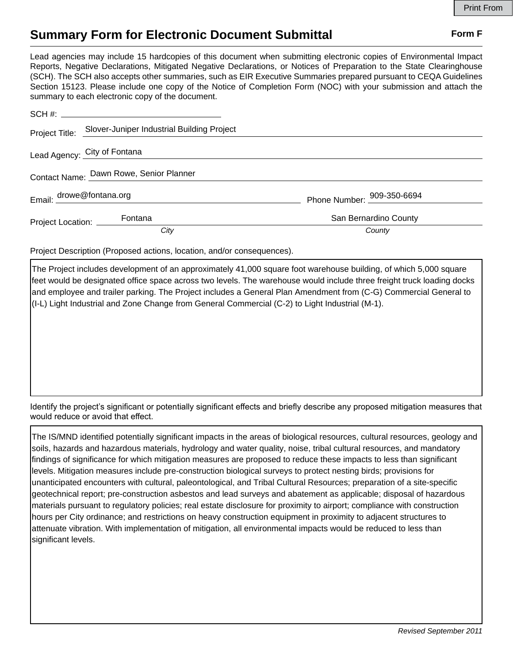## **Summary Form for Electronic Document Submittal Form F Form F**

Lead agencies may include 15 hardcopies of this document when submitting electronic copies of Environmental Impact Reports, Negative Declarations, Mitigated Negative Declarations, or Notices of Preparation to the State Clearinghouse (SCH). The SCH also accepts other summaries, such as EIR Executive Summaries prepared pursuant to CEQA Guidelines Section 15123. Please include one copy of the Notice of Completion Form (NOC) with your submission and attach the summary to each electronic copy of the document.

|                                         | Project Title: Slover-Juniper Industrial Building Project |                            |
|-----------------------------------------|-----------------------------------------------------------|----------------------------|
|                                         | Lead Agency: City of Fontana                              |                            |
| Contact Name: Dawn Rowe, Senior Planner |                                                           |                            |
| Email: drowe@fontana.org                |                                                           | Phone Number: 909-350-6694 |
| Project Location: Fontana               |                                                           | San Bernardino County      |
|                                         | City                                                      | County                     |

Project Description (Proposed actions, location, and/or consequences).

The Project includes development of an approximately 41,000 square foot warehouse building, of which 5,000 square feet would be designated office space across two levels. The warehouse would include three freight truck loading docks and employee and trailer parking. The Project includes a General Plan Amendment from (C-G) Commercial General to (I-L) Light Industrial and Zone Change from General Commercial (C-2) to Light Industrial (M-1).

Identify the project's significant or potentially significant effects and briefly describe any proposed mitigation measures that would reduce or avoid that effect.

The IS/MND identified potentially significant impacts in the areas of biological resources, cultural resources, geology and soils, hazards and hazardous materials, hydrology and water quality, noise, tribal cultural resources, and mandatory findings of significance for which mitigation measures are proposed to reduce these impacts to less than significant levels. Mitigation measures include pre-construction biological surveys to protect nesting birds; provisions for unanticipated encounters with cultural, paleontological, and Tribal Cultural Resources; preparation of a site-specific geotechnical report; pre-construction asbestos and lead surveys and abatement as applicable; disposal of hazardous materials pursuant to regulatory policies; real estate disclosure for proximity to airport; compliance with construction hours per City ordinance; and restrictions on heavy construction equipment in proximity to adjacent structures to attenuate vibration. With implementation of mitigation, all environmental impacts would be reduced to less than significant levels.